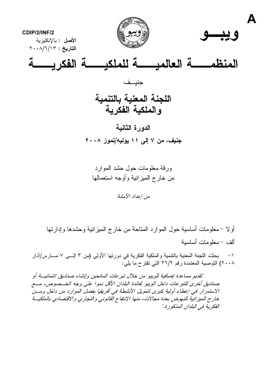

ور قة معلومات حول حشد الموارد من خار ج الميز انية و أو جه استعمالها

من اعداد الأمانة

أولا –معلومات أساسية حول الموارد المتاحة من خارج المبزانية وحشدها وإدارتها ألف –معلومات أساسبة

١– بحثت اللجنة المعنية بالنتمية والملكية الفكرية في دورتها الأولى (من ٣ إلـــي ٧ مـــارس/آذار ٢٠٠٨) التوصية المعتمدة رقم ٢٦/٢ التي تقتر ح ما يليّ:

"تقديم مساعدة إضافية للوبيو من خلال تبر عات المانحين وإنشاء صناديق ائتمانيـــة أو صناديق أخرى للتبر عات داخل الويبو لفائدة البلدان الأقل نموا على وجه الخــصوص، مـــع الاستمرار في إعطاء أولية كبرى لتمويل الأنشطة في أفريقيا بفضل الموارد من داخل ومسن خارج المبز انية للنهوض بعدة مجالات، منها الانتفاع القانوني والتجاري والاقتصادي بالملكيــة الفكر بة في البلدان المذكور ة."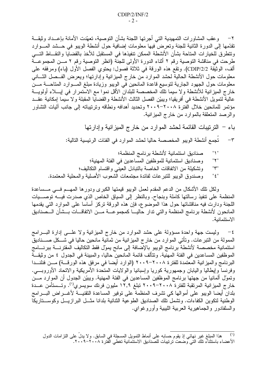٢– وعقب المشاورات التمهيدية التي أجرتها اللجنة بشأن التوصية، تعهّدت الأمانة بإعــداد وثيقـــة نقدَّمها إلى الدورة الثانية للجنة وتعرض فيها معلومات إضافية حول أنشطة الويبو في حـــشد المــــوارد ونتطرق للخيار ات المتاحة بشأن الأنشطة الممكن نتفيذها في المستقبل للأخذ بالقضايا والنقساط التسي طرحت في مناقشة التوصية رقم ٢ أثناء الدورة الأولى للجنة (انظر التوصية رقم ٢ مـــن المجموعـــة ألف، الوثيقة CDIP/2/2). ونقع هذه الورقة في ثلاثة فصول: يحتوي الفصل الأول (باء) ومرفقه على معلومات حول الأنشطة الحالية لحشد الموارد من خارج الميزانية وإدارتها؛ ويعرض الفــصل الشــانـي معلومات حول الجهود الجارية لتوسيع قاعدة المانحين في الويبو وزيادة مبلغ المسوارد المتاحـــة مـــن خارج الميزانية للأنشطة ولا سيما نلك المخصصة للبلدان الأقل نموا مع الاستمرار في إيــــلاء أولويــــة عالية لتمويل الأنشطة في أفريقيا؛ ويبيّن الفصل الثالث الأنشطة والقضايا المقبلة ولا سيما إمكانية عقــد مؤتمر للمانحين خلال الفترة ٢٠٠٨–٢٠٠٩ وتحديد أهدافه ونطاقه وترتيباته إلى جانب آليات التشاور والرصد المتعلقة بالموارد من خارج المبزانية.

باء – الترنيبات القائمة لحشد الموارد من خارج الميزانية وإدارتها

تُجمع أنشطة الويبو المخصصة حاليا لحشد الموارد في الفئات الرئيسية التالية:  $-{\bf r}$ 

- صناديق استئمانية لأنشطة برنامج المنظمة؛ " $\uparrow$ "
- وصناديق استئمانية للموظفين المساعدين في الفئة المهنية؛  $"\blacktriangledown"$
- وتشكيلة من الاتفاقات الخاصة بالتبادل العيني واقتسام التكاليف؛ "ל"
- وصندوق الويبو للتبرعات لفائدة مجتمعات الشعوب الأصلية والمحلية المعتمدة.  $"$  { $"$

ولكل نلك الأشكال من الدعم المقدم لعمل الويبو قيمتها الكبرى ودورها المهـــم فـــي مـــساعدة المنظمة على نتفيذ رسالتها كاملة وبنجاح. وبالنظر إلى السياق الخاص الذي صدرت فيــــه نوصــــيات اللجنة ودارت فيه مناقشاتها حول هذا الموضوع، فإن هذه الورقة تركز أساسا على الموارد التي يقدمها المانحون لأنشطة برنامج المنظمة والتبي ندار حاليسا كمجموعسة مسن الاتفاقسات بسشأن السصناديق الاستئمانية.

٤– وليست جهة واحدة مسؤولة على حشد الموارد من خارج المبزانية ولا علـــي إدارة البـــرامج الممولة من التبر عات. وتأتي الموارد من خار ج الميزانية من ثمانية مانحين حاليا في شـــكل صــــناديق استئمانية مخصصة لأنشطة برنامج الويبو بالإضافة إلى مانح يمول فقط التكاليف المقترنــــة ببرنــــامج الموظفين المساعدين في الفئة المهنية. ونتألف قائمة المانحين حاليا، والمبينة في الجدول ٤ من وثيقـــة البرنامج والميزانية المعتمدة للفترة ٢٠٠٨-٢٠٠٩ (الوارد أيضا في مرفق هذه الورقـــة) مـــن فنلنـــدا وفرنسا وإيطاليا واليابان وجمهورية كوريا وإسبانيا والولايات المتحدة الأمريكية والاتحاد الأوروبسي. وتمول ألمانيا من جهتها برنامج الموظفين المساعدين في الفئة المهنية. ويبيّن الجدول أن الموارد مـــن خارج الميزانية المرتقبة للفترة ٢٠٠٨–٢٠٠٩ تبلغ ١٢,٩ مليون فرنك سويسري''). وتـــستأمن عـــدة بلدان أيضا الويبو على أموالها كي تشرف المنظمة على نوفير المساعدة النقنيـــة لأغـــراض البــــرامج الوطنية لتكوين الكفاءات. ونتسمل تلك الصناديق الطوعية الثنائية بلدانا مثـــل البر ازيـــل وكوســــتاريكا والسلفادور والجماهيرية العربية الليبية وأوروغواي.

<sup>(&#</sup>x27;) هذا المبلغ غير نـهائـي إذ يقوم حسابـه علـى أنماط النمويل المسجلة فـي السابق. و لا يدلّ علـى النز امات الدول<br>الأعضـاء باستثناء تلك النـي وضـعت ترتيبات للصناديق الاستئمانية تغطـي الفترة ٢٠٠٨–٢٠٠٩.  $(1)$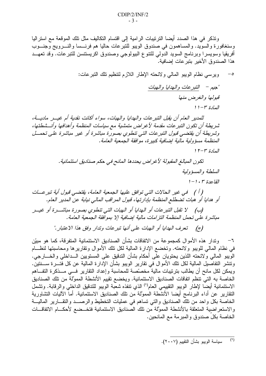ونذكر في هذا الصدد أيضا الترتيبات الرامية إلى اقتسام التكاليف مثل تلك الموقعة مع استراليا وسنغافورة والسويد. والمساهمون في صندوق الويبو للنبرعات حاليا هم فرنسسا والنسرويج وجنسوب أفريقيا وسويسرا وبرنامج السويد الدولمي للنتوع البيولوجي وصندوق اكريستتسن للتبرعات. وقد تعهــد هذا الصندوق الأخير بنبر عات إضافية.

ويرسى نظام الويبو المالي ولائحته الإطار اللازم لنتظيم تلك النبرعات:  $-\circ$ "حيم – التبر عات والهدايا والهبات قبولها والغرض منها العادة ٣-١١ للمدير العام أن يقبل التبر عات والهدايا والهبات، سواء أكانت نقدية أم غيــر ماديــة، شريطة أن تكون التبر عات مقدمة لأغراض متمشية مع سياسات المنظمة وأهدافها وأنسشطتها، وشريطة أن يقتضيي قبول التبرعات التي تنطوي بصورة مباشرة أو غير مباشرة على تحمــل المنظمة مسؤ ولية مالية إضافية كبير ة، موافقة الجمعية العامة.  $\gamma$   $\gamma$   $-\gamma$   $\gamma$   $\gamma$ تكون المبالغ المقبولة لأغراض يحددها المانح في حكم صناديق استئمانية. السلطة والمسؤولية  $1 - 1 \cdot r$  القاعدة ( أ ) في غير الحالات التي توافق عليها الجمعية العامة، يقتضي قبول أية تبر عــات أو هدايا أو هبات تضطلع المنظمة بإدارتها، قبول المراقب المالي نيابة عن المدير العام. (ب) لا تقبل التبر عات أو الهدايا أو الهبات التي تنطوي بصورة مباشــرة أو غيــر مباشر ة على تحمل المنظمة التزامات مالية إضافية إلا بموافقة الجمعية العامة.

(ج) تعرف الهدايا أو الهبات على أنها تبر عات وتدار وفق هذا الاعتبار ."

٦– وتدار هذه الأموال كمجموعة من الاتفاقات بشأن الصناديق الاستئمانية المتفرقة، كما هو مبيّن في نظام المالي للويبو ولائحته. وتخضع الإدارة المالية لكل نلك الأموال وتقاريرها ومحاسبتها لنظـــام الوِّيبو المالي و لائحته اللذين يحتويان علَّى أحكام بشأن التدقيق على المستويين الـــداخلي والخــــار جي. ونتشر النفاصيل المالية لكل نلك الأموال في نقارير الويبو بشأن الإدارة المالية عن كل فتـــرة ســــنتين. ويمكن لكل مانح أن يطالب بترتيبات مالية مخصّصة للمحاسبة وإعداد النقارير فسي مسذكرة التفساهم الخاصة به التي تنظم اتفاقات الصناديق الاستئمانية. ويخضع نقييم الأنشطة المموَّلة من تلك الصناديق الاستئمانية أيضا لإطار الويبو التقييمي العام<sup>(٢)</sup> الذي نتفذه شعبة الويبو للتدقيق الداخلي والرقابة. وتشمل النقارير عن أداء البرنامج أيضا الأنشطة المموَّلة من نلك الصناديق الاستئمانية. أما الآليات التشاورية الخاصة بكل واحد من نلك الصناديق والتي نساهم في عمليات التخطيط والرصــد والنقـــارير الماليـــة والاستعراضية المتعلقة بالأنشطة المموَّلة من نلك الصناديق الاستئمانية فتخــضع لأحكـــام الاتفاقـــات الخاصة بكل صندوق والمبرمة مع المانحين.

سياسة الويبو بشأن التقييم (٢٠٠٧).  $(\lambda)$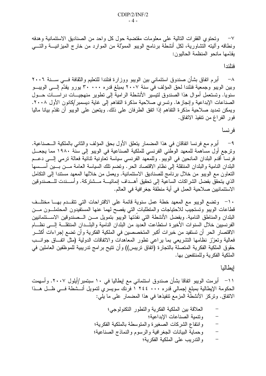٧– وتحتوي الفقرات النالية على معلومات مقتضبة حول كل واحد من الصناديق الاستئمانية وهدفه ونطاقه وأليته التشاورية، لكل أنشطة برنامج الويبو المموَّلة من الموارد من خارج الميزانيـــة والتــــي يقدّمها مانحو المنظمة الحاليون:

فنلندا

^− أبرم اتفاق بشأن صندوق استئماني بين الويبو ووزارة فنلندا للتعليم والثقافة فـــي ســـنة ٢٠٠٦ وبين الويبو وجمعية فنلندا لحق المؤلف في سنة ٢٠٠٧ بمبلغ قدره ٣٠٠ . ٣٠ يورو يقدَّم إلـــي الويبـــو سنويا. وتستعمل أموال هذا الصندوق لتيسير الأنشطة الرامية إلى تطوير منهجيـــات دراســــات حـــول الصناعات الإبداعية وإنجازها. ونسري صلاحية مذكرة النفاهم إلى غاية ديسمبر/كانون الأول ٢٠٠٨. ويمكن تمديد صلاحية مذكرة التفاهم إذا اتفق الطرفان على ذلك. ويتعين على الويبو أن تقدّم بيانا ماليا فور الفراغ من نتفيذ الاتفاق.

فرنسا

٩ − أبر م مع فر نسا اتفاقان في هذا المضمار يتعلق الأول بحق المؤلف والثاني بالملكية الـــصناعية. وترجع أول مساهمة للمعهد الوطني الفرنسي للملكية الصناعية في الويبو إلى سنة ١٩٨٠ مما يجعــل فرنسا أقدم البلدان المانحين في الويبو . وللمعهد الفرنسي سياسة تعاونية نتائية فعالة ترمي إلــــي دعـــم البلدان النامية والبلدان المنتقلة إلى نظام الاقتصاد الحر . وتضم نلك السياسة العامة مـــن بـــين أســـسها النعاون مع الويبو من خلال برنامج للصناديق الاستئمانية. ويعمل من خلالها المعهد مستندا إلى النكامل الذي يتحقق بفضل الشراكات الساعية إلى تحقيق أهــداف إنمائيـــة مـــشتركة. وأســـندت للـــصندوقين الاستئمانيين صلاحية العمل في أية منطقة جغر افية في العالم.

· ا− وتضع الويبو مع المعهد خطة عمل سنوية قائمة على الاقتراحات التي تتقــدم بهــا مختلــف قطاعات الويبو وتستجيب للاحتياجات والمتطلبات التى يفصح لهما عنها المستفيدون المحتملـون مــن البلدان والمناطق النامية. وبفضل الأنشطة التي نفذتها الويبو بتمويل مــن الــصندوقين الاســـتئمانيين الفرنسبين خلال السنوات الأخيرة استطاعت العديد من البلدان النامية والبلــدان المنتقلـــة إلـــي نظـــام الاقتصار الحر أن تستفيد من خبرات أكبر المتخصصين في الملكية الفكرية وأن تضع إجراءات أكثـــر فعالية وتعزز نظامها النشريعي بما براعى نطور المعاهدات والاتفاقات الدولية (مثل انفــاق جوانـــب حقوق الملكية الفكرية المتصلة بالتجارة (اتفاق تريبس)) وأن تتيح برامج تدريبية للموظفين العاملين في الملكية الفكر ية و للمنتفعين بها.

## إيطاليا

١١– أبر مت الويبو اتفاقا بشأن صندوق استئماني مع إيطاليا في ١٠ سبتمبر /أيلول ٢٠٠٧. وأسهمت الحكومة الإيطالية بمبلغ إجمالي قدره ٢٤٤ ٠٠٠ أ فرَّنك سويسرِّي لتمويل أنـــشطة فـــي ظـــل هـــذا الاتفاق. وتركَّز الأنشطة المزمع نتفيذها في هذا المضمار على ما يلي:

- العلاقة بين الملكية الفكرية والتطور التكنولوجي؛
	- ونتمية الصناعات الإبداعية؛
- وانتفاع الشركات الصغيرة والمتوسطة بالملكية الفكرية؛
- وحماية البيانات الجغرافية والرسوم والنماذج الصناعية؛  $\frac{1}{1}$ 
	- والندريب على الملكية الفكرية؛  $\qquad \qquad -$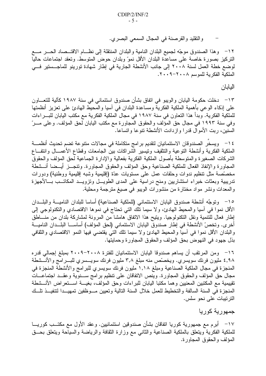والنقليد والقرصنة في المجال السمعي البصري.

١٢– وهذا الصندوق موجّه لجميع البلدان النامية والبلدان المنتقلة إلى نظـــام الاقتـــصـاد الـصـــر مــــع التركيز بصورة خاصة على مساعدة البلدان الأقل نموّ وبلدان حوض المنوسط. ونعقد اجتماعات حاليا لوضع خطة العمل لسنة ٢٠٠٨ إلى جانب الأنشطة الجارية في إطار شهادة تورينو للماجــستير فـــي الملكية الفكرية للموسم ٢٠٠٨–٢٠٠٩.

البابان

١٣ – دخلت حكومة اليابان والويبو في اتفاق بشأن صندوق استئماني في سنة ١٩٨٧ كآلية للتعـــاون على إذكاء الوعى بأهمية الملكية الفكرية ومساعدة البلدان في آسيا والمحيط الهادئ على تعزيز أنظمتها للملكية الفكرية. وبدأ هذا التعاون في سنة ١٩٨٧ في مجال الملكية الفكرية مع مكتب اليابان للبـــر اءات وفي سنة ١٩٩٣ في مجال حق المؤلف والحقوق المجاورة مع مكتب اليابان لحق المؤلف. وعلى مـــرّ السُّنين، ربِّت الأموال قدر! وإزدادت الأنشطة نتوعا واتساعا.

١٤ - ويسخر الصندوقان الاستئمانيان لتقديم بر امج متكاملة في مجالات متنوعة تضم تحديث أنظمـــة الملكية الفكرية وأنشطة النوعية والنتقيف ونيسير الشراكات بين الجامعات وقطاع الأعمـــال وانتفـــاع الشركات الصغيرة والمنوسطة بأصول الملكية الفكرية بفعالية والإدارة الجماعية لحق المؤلف والحقوق المجاورة والإنفاذ الفعال للملكية الصناعية وحق المؤلف والحقوق المجاورة. وتنجــز أيــضا أنــشطة مخصَّصة مثل نتظيم ندوات وحلقات عمل على مستويات عدَّة (إقليمية وشبه إقليمية ووطنية) ودورات تدريبية وبعثات خبراء استشاريين ومنح دراسية على المدى الطويـــل ونزويـــد المكاتـــب بـــالأجهزة و المعدات ونشر مو اد مختارة من منشور ات الويبو في صيغ مترجمة ومحلية.

١٥– وتوجَّه أنشطة صندوق اليابان الاستئماني (للملكية الصناعية) أساسا للبلدان الناميـــة والبلـــدان الأقل نموا في أسيا والمحيط الهادئ، ولا سيما نلك التي تحتاج في نموها الاقتصادي والتكنولوجي إلى إطار فعال للتنمية ونقل النكنولوجيا. ويتيح هذا الاتفاق هامشا من المرونة لمشاركة بلدان من منـــاطق أخر ي. وتخصّ الأنشطة في إطار صندوق اليابان الاستئماني (لحق المؤلف) أساســـا البلـــدان الناميـــة والبلدان الأقل نموا في آسيا والمحيط الهادئ ولا سيما نلك التي يقتضي فيها النمو الاقتصادي والثقافي بذل جهود في النهوض بحق المؤلف والحقوق المجاورة وحمايتها.

١٦– ومن المرتقب أن يساهم صندوقا اليابان الاستئمانيان للفترة ٢٠٠٨–٢٠٠٩ بمبلغ إجمالي قدره ٤,٩٨ مليون فرنك سويسري. ويخصَّص منه مبلغ ٣,٨ مليون فرنك سويـــسري للبـــرامج والأنـــشطة المنجز ة في مجال الملكية الصناعية ومبلغ ١,١٨ مليون فرنك سويسر ي للبر امج والأنشطة المنجز ة في مجال حق المؤلف والحقوق المجاورة. وينص الاتفاقان على تنظيم برامج ســـنوية وعقـــد اجتماعـــات تقييمية مع المكتبين المعنيين وهما مكتبا اليابان للبراءات وحق المؤلف، بغيسة اسستعراض الأنسشطة المنجزة في السنة السالفة والتخطيط للعمل خلال السنة التالية وتعيين مـوظفين تمهيــدا لتتفيــذ تلــك الترنيبات على نحو سلس.

جمهورية كوريا

١٧– أبرم مع جمهورية كوريا اتفاقان بشأن صندوقين استئمانيين. وعقد الأول مع مكتــب كوريـــا للملكية الفكرية ويتعلق بالملكية الصناعية والثاني مع وزارة الثقافة والرياضة والسياحة ويتعلق بحــق المؤلف والحقوق المجاورة.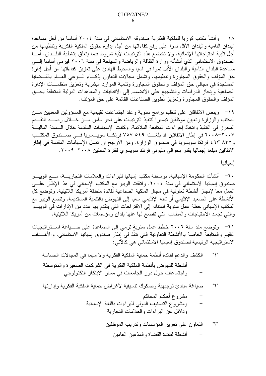١٨ – وأنشأ مكتب كوريا للملكية الفكرية صندوقه الاستئماني في سنة ٢٠٠٤ أساسا من أجل مساعدة البلدان النامية والبلدان الأقل نموا على رفع كفاءاتها من أجل إدارة حقوق الملكية الفكرية ونتظيمها من أجل نلبية احتياجاتها الإنمائية. ولا تخضع هذه الترتيبات لأية شروط فيما يتعلق بتغطية البلــدان. أمـــا الصندوق الاستئماني الذي أنشأته وزارة الثقافة والرياضة والسياحة في سنة ٢٠٠٦ فيرمي أساسا إلـــي مساعدة البلدان النامية والبلدان الأقل نموا في أسيا والمحيط المهادئ على تعزيز كفاءاتها من أجل إدارة حق المؤلف والحقوق المجاورة ونتظيمها. ونشمل مجالات النعاون إذكـــاء الـــوعى العـــام بالقـــضايا المستجدة في مجالي حق المؤلف والحقوق المجاورة ونتمية الموارد البشرية وتعزيز منظمـــات الإدارة الجماعية وإنجاز الدراسات والتشجيع على الانضمام إلى الاتفاقيات والمعاهدات الدولية المتعلقة بحــق المؤلف والحقوق المجاورة وتعزيز تطوير الصناعات القائمة على حق المؤلف.

١٩– وينص الاتفاقان على نتظيم برامج سنوية وعقد اجتماعات نقييمية مع المسؤولين المعنيين مــن المكتب والوزارة وتعيين موظفين تيسيرا لتتفيذ الترتيبات على نحو سلس مــن خـــلال رصـــد التقـــدم المحرز في التنفيذ واتخاذ إجراءات المتابعة الملائمة. وكانت الإسهامات المقدمة خلال السسنة الماليـــة ٢٠٠٨-٢٠٠٧ في إطار الاتفاقين قد بلغت ٥٤٩ ٢٥٧ فرنكــا سويــسريا فـــي صـــندوق المكتــب و ٨٣٥ ٤٩٣ فرنكا سويسريا في صندوق الوزارة. ومن الأرجح أن تصل الإسهامات المقدمة في إطار الاتفاقين مبلغا إجماليا يقدر بحوالي مليوني فرنك سويسري لفترة السنتين ٢٠٠٨-٢٠٠٩.

إسبانيا

٢٠ - أنشأت الحكومة الإسبانية، بوساطة مكتب إسبانيا للبراءات والعلامات التجاريـــة، مـــع الويبـــو صندوق إسبانيا الاستئماني في سنة ٢٠٠٤. واتفقت الويبو مع المكتب الإسباني في هذا الإطار علـــي العمل معا لإنجاز أنشطة تعاونية في مجال الملكية الصناعية لفائدة منطقة أمريكا اللاتينية. وتوضع كل الأنشطة على الصعيد الإقليمي أو شبه الإقليمي سعيا إلى النهوض بالتنمية المستديمة. وتضع الويبو مع المكتب الإسباني خطة عمل سنوية استنادا إلى الاقتراحات التي يتقدم بها عدد من الإدارات في الويبــو والتي نجسد الاحتياجات والمطالب التي تفصح لها عنها بلدان ومؤسسات من أمريكا اللانينية.

٢١– وتوضع منذ سنة ٢٠٠٦ خطط عمل سنوية ترمي إلى المساعدة على صـــياغة اســتراتيجيات التقييم والمتابعة الخاصة بالأنشطة التعاونية التي تنفذ في إطار صندوق إسبانيا الاستئماني. والأهـــداف الاستر اتيجية الرئيسية لصندوق إسبانيا الاستئماني هي كالآتي:

- ودلائل عن البر اءات والعلامات التجارية  $\overline{\phantom{0}}$ 
	- التعاون علىى تعزيز المؤسسات وندريب الموظفين "۳" أنشطة لفائدة القضاة والمدّعين العامين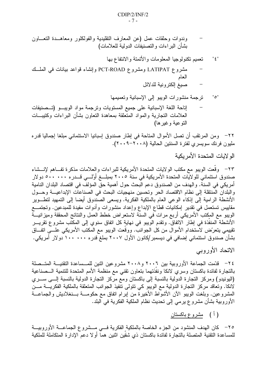- تعميم تكنولوجيا المعلومات والأتمتة والانتفاع بها  $" \xi"$
- مشروع LATIPAT ومشروع PCT-ROAD وإنشاء قواعد بيانات في الملسك العام
	- صبغ إلكترونية للدلائل

إناحة اللغة الإسبانية على جميع المستويات وترجمة مواد الويبـــو (تـــصنيفات العلامات التجارية والمواد المتعلقة بمعاهدة التعاون بشأن البراءات وكتيبـــات التو عية وغير ها)

٢٢– ومن المرنقب أن نصل الأموال المتاحة في إطار صندوق إسبانيا الاستئماني مبلغا إجماليا قدره مليون فرنك سويسر ي لفتر ة السنتين الحالية (٢٠٠٨–٢٠٠٩).

٢٣– وقَّعت الويبو مع مكتب الولايات المتحدة الأمريكية للبراءات والعلامات مذكرة تفــاهم لإنـــشاء صندوق استئماني للولايات المتحدة الأمريكية في سنة ٢٠٠٥ بمبلــغ أولـــي قـــدره ٥٠٠ ٥٠٠ دولار أمريكي في السنة. والهدف من الصندوق دعم البحث حول أهمية حق المؤلف في اقتصاد البلدان النامية والبلدان المنتقلة إلى نظام الاقتصاد الحر وتحسين منهجيات البحث في الصناعات الإبداعيــة وحــول الأنشطة الرامية إلى إذكاء الوعي العام بالملكية الفكرية. ويسعى الصندوق أيضا إلى التمهيد لتطــوير مقاييس تستعمل في نقدير ۖ إمكانيات قطاع الإبداع وإعداد منشورات وأدوات مفيدة للمبدعين. وتجتمـــع الويبو مع المكتب الأمريكي أربع مرات في السنة لاستعراض خطط العمل والنتائج المحققة وميزانيـــة الأنشطة المنفذة في إطار الاتفاق. ونقدم الويبو في نهاية كل اتفاق سنوي إلى المكتب مشروع نقريـــر تقييمي يتعرّض لاستخدام الأموال من كل الجوانب. ووقعت الويبو مع المكتب الأمريكي علـــي اتفـــاق بشأن صندوق استئمانی إضافی فی دیسمبر/کانون الأول ۲۰۰۷ بملغ قدر ه ۱۰۰ ۱۰۰ دولار أمریکی.

الاتحاد الأوروببي

٢٤– قدَّمت الجماعة الأوروبية بين ٢٠٠٦ و٢٠٠٨ مشروعين اثنين للمـــساعدة التقنيـــة المتـــصلة بالتجارة لفائدة باكستان وسرى لانكا ونفذتهما بتعاون تقنى مع منظمة الأمم المتحدة للتتمية السصناعية (اليونيدو) ومركز النجارة الدولية بالنسبة إلى باكستان ومع مركز النجارة الدولية بالنسبة إلــــى ســــري لانكا. وتعاقد مركز التجارة الدولية مع الويبو كي نتولى نتفيذ الجوانب المتعلقة بالملكية الفكريــــة مـــن المشروعين. وبلغت الويبو الأن الأشواط الأخيرة من إبرام انفاق مع حكومـــة بـــنغلاديش والجماعـــة الأوروبية بشأن مشروع يرمي إلى تحديث نظام الملكية الفكرية في البلد.

( أ ) م<u>شروع باكستان</u>

٢٥– كان الهدف المنشود من الجزء الخاصة بالملكية الفكرية فسي مـــشروع الجماعـــة الأوروبيـــة للمساعدة التقنية المتصلة بالتجارة لفائدة باكستان ذي شقين اثنين هما أولا دعم الإدارة المتكاملة للملكية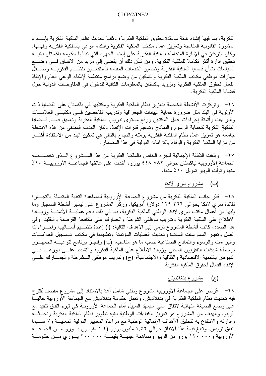الفكرية، بما فيها إنشاء هيئة موحّدة لحقوق الملكية الفكرية؛ وثانيا تحديث نظام الملكية الفكرية بإســداء المشورة القانونية المناسبة وتعزيز عمل مكاتب الملكية الفكرية وإذكاء الوعي بالملكية الفكرية وفهمها. وكان النركيز في الإدارة المتكاملة للملكية الفكرية على إسناد الجهود التي نبذلها حكومة باكستان بغيسة تحقيق إدار ة أكثر تكاملا للملكية الفكرية. ومن شأن ذلك أن يفضي إلى مزيد من الاتساق فـــي وضــــع السياسات بشأن قضايا الملكية الفكرية وتحسين الخدمات المقدمة للمنتفعـــين بنظــــام الفكريــــة وصــــقل مهارات موظفى مكاتب الملكية الفكرية والتمكين من وضع برامج منتظمة لإذكاء الوعى العام والإنفاذ الفعال لحقوق الملكية الفكرية ونزويد باكستان بالمعلومات الكافية للدخول في المفاوضات الدولية حول قضايا الملكية الفكر ية.

٢٦– وتركزت الأنشطة الخاصة بتعزيز نظام الملكية الفكرية ومكتبَيها في باكستان على القضايا ذات الأولوية في البلد مثل ضرورة حماية البيانات الجغرافية وتدريب الفاحصين فسي مكتبسي العلامسات والبراءات وأتمتة إجراءات عمل المكتبين ورفع مستوى ندريس الملكية الفكرية وتعميق فهـــم قـــضايا الملكية الفكرية كحماية الرسوم والنماذج وتدعيم قدرات الإنفاذ. وكان الهدف المبتغى من هذه الأنشطة جامعة هو تعزيز عمل نظام الملكية الفكرية برمّته والنجاح بالتالبي في تمكين البلد من الاستفادة أكثـــر من مزايا الملكية الفكرية والوفاء بالنزاماته الدولية في هذا المضمار .

٢٧– وبلغت التكلفة الإجمالية للجزء الخاص بالملكية الفكرية من هذا المسشروع السذى تخصسصه الجماعة الأوروبية لباكستان حوالي ٤٤٨ ٤٤٨ بورو، أخذت على عانقها الجماعـــة الأوروبيـــة ٩٠٪ منها وتولت الويبو تمويل ١٠٪ منها.

(ب) مشروع سري لانكا

٢٨– قدِّر جانب الملكية الفكرية من مشروع الجماعة الأوروبية للمساعدة النقنية المتصلة بالتجـــارة لفائدة سري لانكا بحوالي ٣٦٦ ٢٦٩ دولارا أمريكيا. وركَّز المشروع على نيسير أنشطة التسجيل وما يليها من أعمال مكتب سرى لانكا الوطني للملكية الفكرية، بما في ذلك دعم عمليـــة الأتمتـــة وزيــــادة الاطلاع على الملكية الفكرية ونتريب موظفي الشرطة والجمارك على مكافحة القرصنة والتقليد. وفي هذا الصدد، كانت أنشطة المشروع نرمي إلى الأهداف التالية: (أ) إعادة ننظـــيم أســــاليب وإجــــراءاتٌ العمل وتغيير الممارسات السائدة وتحديث العمليات المؤتمتة وتطبيقها في مكاتب تسمجيل العلامسات والبراءات والرسوم والنماذج الصناعية حسب ما هو مناسب؛ (ب) وإنجاز برنامج لنوعيـــة الجمهـــور بوساطة شبكات النلفزيون المحلي وزيادة الاطلاع على الملكية الفكرية والنشديد علسى دورهــا فسى النهوض بالتنمية الاقتصادية والثقافية والاجتماعية؛ (ج) وتدريب موظفي الـــشرطة والجمـــارك علــــي الإنفاذ الفعال لحقوق الملكية الفكر ية.

# (ج) مشروع بنغلاديش

٢٩− عُرض على الجماعة الأوروبية مشروع وطنبي شامل أعدّ بالاستناد إلىي مشروع مفصل يُقترح فيه تحديث نظام الملكية الفكرية في بنغلاديش. وتعمل حكومة بنغلاديش مع الجماعة الأوروبية حاليـــا على وضع الصيغة النهائية لاتفاق مالي سيمهّد السبيل أمام الجماعة الأوروبية كي تبرم اتفاق نتفيذ مع الويبو. والهدف من المشروع هو تعزيز الكفاءات الوطنية بغية نطوير نظام الملكية الفكرية وتحديثـــه وإدارته والانتفاع به لتحقيق الأهداف الإنمائية الوطنية مع مراعاة المعايير الدولية المعنيـــة ولا ســــيما اتفاق نريبس. ونبلغ قيمة هذا الاتفاق حوالي ١,٥٢ مليون يورو (١,٢ مليــون يــورو مــن الجماعـــة الأوروبية و١٢٠ ١٢٠ يورو من الويبو ومساهمة عينيـــة بقيمـــة ٢٠٠ . ٢٠٠ يـــوري مـــن حكومـــة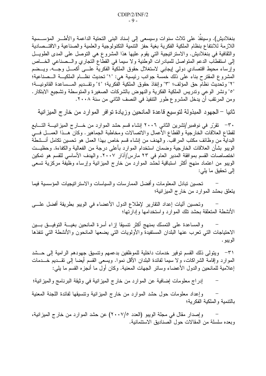بنغلاديش). وسينفذ على ثلاث سنوات وسيسعى إلى إسناد البنبي التحتية الداعمة والأطــــر المؤســـسية اللازمة للانتفاع بنظام الملكية الفكرية بغية حفز النتمية النكنولوجية والعلمية والصناعية والاقتــصادية والثقافية في بنغلاديش. والاستراتيجية التي يقوم عليها هذا المشروع هي التوصل على المدى الطويــل إلى استقطاب الدعم المتواصل للمبادرات الوطنية ولا سيما في القطاع التجاري والـــصناعي الخــــاص وإرساء محيط اقتصادي دولمي إيجابي لاستغلال حقوق الملكية الفكرية علـــي أكمـــل وجـــه. ويـــضم المشروع المقترح بناء على ذلك خمسة جوانب رئيسية هي: "١" تحديث نظــام الملكيـــة الـــصناعية؛ "٢" وتحديث نظام حق المؤلف؛ "٣" وإنفاذ حقوق الملكية الفكرية؛ "٤" وتقــديم المــساعدة القانونيـــة؛ "°" ونشر الوعبي وندريس الملكية الفكرية والنهوض بالشركات الصغيرة والمتوسطة وتشجيع الابتكار . ومن المرتقب أن يدخل المشروع طور التنفيذ في النصف الثاني من سنة ٢٠٠٨.

ثانيا – الجهود المبذولة لتوسيع قاعدة المانحين وزيادة توافر الموارد من خارج الميزانية

٣٠- تقرَّر في نوفمبر/تشرين الثاني ٢٠٠٦ إنشاء قسم حشد الموارد من خـــارج الميزانيــــة التـــابـع لقطاع العلاقات الخارجية والقطاع الأعمال والاتصالات ومخاطبة الجماهير . وكان هــذا العمـــل فـــي البداية من وظائف مكتب المراقب. والهدف من إنشاء قسم خاص بهذا العمل هو تحسين تكامل أنـــشطة الويبو بشأن العلاقات الخارجية وضمان استخدام الموارد بأعلى درجة من الفعالية والكفاءة. وحظيــت اختصاصات القسم بموافقة المدير العام في ٢٣ مارس/آذار ٢٠٠٧. والهدف الأساسي للقسم هو تمكين الويبو من اعتماد منهج أكثر استباقية لحشد الموارد من خارج الميزانية وإرساء وظيفة مركزية تسعى إلى تحقيق ما يلي:

تحسين تبادل المعلومات و أفضل الممار سات و السياسات و الاستر اتيجيات المؤسسية فيما يتعلق بحشد الموارد من خارج الميزانية؛

وتحسين أليات إعداد التقارير لإطلاع الدول الأعضاء في الويبو بطريقة أفضل علـــي الأنشطة المتعلقة بحشد نلك الموارد واستخدامها وإدارتها؛

والمساعدة على التمسك بمنهج أكثر نتسبقا إزاء أسرة المانحين بغيسة التوفيسق بسين الاحتياجات التبي تعرب عنها البلدان المستفيدة والأولويات التبي يضعها المانحون والأنشطة التبي تنفذها الويبو .

٣١– ويتولى ذلك القسم توفير خدمات داخلية للموظفين بدعمهم وتتسيق جهودهم الرامية إلى حـــشد الموارد وإقامة الشراكات، ولا سيما لفائدة البلدان الأقل نموا. ويسعى القسم أيضا إلىي نقــديم خـــدمات إعلامية للمانحين والدول الأعضاء وسائر الجهات المعنية. وكان أول ما أنجزه القسم ما يلي:

إدراج معلومات إضافية عن الموارد من خارج الميزانية في وثيقة البرنامج والميزانية؛

وإعداد معلومات حول حشد الموارد من خارج الميزانية ونتسيقها لفائدة اللجنة المعنية بالتنمية والملكية الفكرية؛

وإصدار مقال في مجلة الويبو (العدد ٢٠٠٧/٥) عن حشد الموارد من خارج الميزانية، وبعده سلسلة من المقالات حول الصناديق الاستئمانية.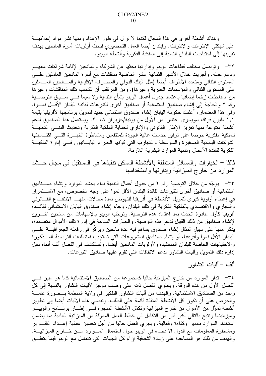وهناك أنشطة أخرى في هذا المجال لكنها لا نزال في طور الإعداد ومنها نشر مواد إعلاميـــة على شبكتي الإنترانت والإنترنت. وابتدئ أيضا العمل التحضيري لبحث أولويات أسرة المانحين بهدف نقر يبها إلى احتياجات البلدان النامية إلى الملكية الفكرية وأنشطة الويبو .

٣٢– وتواصل مختلف قطاعات الويبو وإدارتها بحثها عن الشركاء والمانحين لإقامة شراكات معهــم ودعم عمله. وأجريت خلال الأشهر الثمانية عشر الماضية مناقشات مع أسرة المانحين العاملين علـــي المستوى الثنائبي ومتعدد الأطراف أيضا (مثل البنك الدولمي والمصارف الإقليمية والمسانحين العساملين على المستوى الثنائي والمؤسسات الخيرية وغيرها). ومن المرنقب أن تكتسب نلك المناقشات وغيرها من المباحثات زخما إضافيا باعتماد جدول أعمال الويبو بشأن النتمية ولا سيما فـــي ســـياق التوصــــية ر قم ٢ و الحاجة إلى إنشاء صناديق استئمانية أو صناديق أخر ي للتبر عات لفائدة البلدان الأقـــل نمـــوا. وفي هذا المضمار، أعلنت حكومة اليابان إنشاء صندوق استئماني جديد لتمويل برنامجها لأفريقيا بقيمة ١,١ مليون فرنك سويسري اعتبارا من الأول من يونيه/حزيران ٢٠٠٨. ويستعمل هذا الصندوق لدعم أنشطة متنوعة منها نعزيز الإطار القانوني والإداري لحماية الملكية الفكرية وتحديث البنسي التحتيـــة للملكية الفكرية حرصا على توفير خدمات عالية الجودة للمنتفعين ومشاطرة الخبسرة التسى اكتسستها الشركات اليابانية الصغيرة والمنوسطة والتجارب التى كونها الخبراء اليابـــانيون فـــي إدارة الملكيـــة الفكر بية لفائدة الأعمال وتنمية الموار د البشر بية اللاز مةً.

ثالثا – الخيارات والمسائل المتعلقة بالأنشطة الممكن نتفيذها في المستقبل في مجال حسشد الموارد من خارج الميز انية وإدارتها واستخدامها

٣٣– يوجَّه من خلال التوصية رقم ٢ من جدول أعمال التتمية نداء بحشد الموارد وإنشاء صــــناديق استئمانية أو صناديق أخرى للتبرعات لفائدة البلدان الأقل نموا على وجه الخصوص، مع الاســـتمرار في إعطاء أولوية كبرى لتمويل الأنشطة في أفريقيا للنهوض بعدة مجالات منهـــا الانتفـــاع القـــانونـي والنجاري والاقتصادي بالملكية الفكرية في نلك البلدان. وجاء إنشاء صندوق اليابان الاستئمانى لفائـــدّة أفريقيا كأول مبادرة اتخذت بعد اعتماد هذه النوصية. ونرحّب الويبو بالإسهامات من مانحين آخـــرين لإنشاء صناديق من ذلك القبيل لدعم هذه التوصية. والخيارات المتاحة في إدارة تلك الأموال متعـــددة، يذكر منها على سبيل المثال إنشاء صندوق يساهم فيه عدة مانحين ويركز في رقعته الجغرافيـــة علــــي البلدان الأقل نموا وأفريقيا، أو إنشاء صناديق للمشروعات التي تستجيب لمتطلبات التوصية المـــذكورة والاحتياجات الخاصة للبلدان المستفيدة ولأولويات المانحين أيضا. وتستكشف في الفصل ألف أدناه سبل إدارة ذلك التمويل وأليات النشاور لدعم الاتفاقات التي تقوم عليها صناديق النبرعات.

ألف – آليات النشاور

٣٤– تدار الموارد من خارج الميزانية حاليا كمجموعة من الصناديق الاستئمانية كما هو مبيّن فـــى الفصل الأول من هذه الورقة. ويحتوي الفصل ذاته على وصف موجز لآليات التشاور بالنسبة إلى كل واحد من الصناديق الاستئمانية. والهدف من أليات التشاور التفكير في ولاية المنظمة بــصورة عامـــة والحرص على أن نكون كل الأنشطة المنفذة قائمة على الطلب. وتفضي هذه الأليات أيضا إلى نطوير أنشطة تموَّل من الأموال من خارج الميزانية وتكمَّل الأنشطة المنجزة فــّـي إطـــار برنــــامج والويبـــو وميز انيتها ونتيح بالنالي أكبر قدر من النكامل في خطط العمل المموَّلة من الميز انية العادية بما يضمن استخدام الموارد بندبير وكفاءة وفعالية. ويجري العمل حاليا من أجل تحسين عملية إعــداد النقـــارير ومشاطرة المعلومات مع الدول الأعضاء في الويبو حول استعمال المـــوارد مـــن خــــارج الميزانيـــة. والهدف من ذلك هو المساعدة على زيادة الشفافية إزاء كل الجهات التي تتعامل مع الويبو فيما يتعلَّــق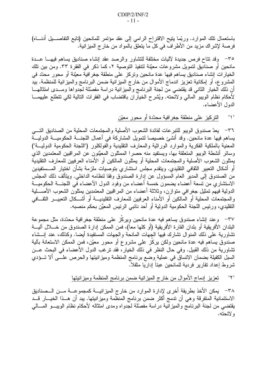باستعمال تلك الموارد. وربَّما يتيح الاقتراح الرامي إلى عقد مؤتمر للمانحين (تابع التفاصــيل أدنـــاه) فرصة لإشراك مزيد من الأطراف في كل ما يتعلق بالمواد من خار ج الميزانية.

٣٥-- وقد نتاح فرص جديدة لأليات مختلفة للتشاور والرصد عقد إنشاء صناديق يساهم فيهسا عسدة مانحين أو صناديق لتمويل مشروعات معيّنة لنتفيذ النوصية ٢، كما ذكر في الفقرة ٣٣. ومن بين تلك الخيارات إنشاء صناديق يساهم فيها عدة مانحين ونركز على منطقة جغرافية معيّنة أو محور محدّد في المشروع، أو إمكانية تعزيز اندماج الأموال من خارج الميزانية ضمن البرنامج والميزانية للمنظمة. بيد أن ذلك الخيار الثانبي قد يقتضبي من لجنة البرنامج والميزانية دراسة مفصلة لجدواها ومـــدى امتثالهـــا لأحكام نظام الويبو المالي ولائحته. ويُشرح الخياران باقتضاب في الفقرات التالية لكي نتطلع عليهمـــا الدول الأعضاء.

> التركيز على منطقة جغرافية محدّدة أو محور معيّن  $" \Upsilon"$

٣٦– يعدّ صندوق الويبو للنبر عات لفائدة الشعوب الأصلية والمجتمعات المحلية من الصناديق التسي يساهم فيها عدة مانحين. وقد أنشئ خصيصا لتمويل المشاركة في أعمال اللجنـــة الحكوميـــة الدوليـــة المعنية بالملكية الفكرية والموارد الوراثية والمعارف التقليدية والُّفولكلور ("اللجنة الحكومية الدوليــة") وسائر أنشطة الويبو المتعلقة بها، ويستفيد منه حصرا الممثلون المعيَّنون عن المراقبين المعتمدين الذي يمثلون الشعوب الأصلية والمجتمعات المحلية أو يمثلون المالكين أو الأمناء العرفيين للمعارف التقليدية أو أشكال التعبير الثقافي التقليدي. ويتقدم مجلس استشاري بتوصيات ملزمة بشأن اختيار المـــستفيدين من الصندوق إلى المدير العام المسؤول عن إدارة الصندوق وفقا لنظامه الداخلي. ويتألف ذلك المجلس الاستشاري من تسعة أعضاء يضمون خمسة أعضاء من وفود الدول الأعضاء في اللجنـــة الحكوميـــة الدولية فيهم تمثيل جغرافي متوازن، وثلاثة أعضاء من المراقبين المعتمدين يمثلون الشعوب الأصــــلية والمجتمعات المحلية أو المالكين أو الأمناء العرفيين للمعارف النقليديــــة أو أشــــكال النعبيــــر الثقــــافي النقليدي، ورئيس اللجنة الحكومية الدولية أو أحد نائبي الرئيس المعيَّن بحكم منصبه.

٣٧– وعند إنشاء صندوق يساهم فيه عدة مانحين ويركز على منطقة جغرافية محدّدة، مثل مجموعة البلدان الأفريقية أو بلدان القارة الأفريقية (أو كلها معا)، فمن الممكن إدارة الصندوق من خــــلال آليــــة نشاورية على ذلك المنوال نشارك فيها الجهات المانحة والجهات المستفيدة أيضا. وكذلك، عند إنـــشاء صندوق يساهم فيه عدة مانحين ولكن يركز على مشروع أو محور معيّن، فمن الممكن الاستعانة بألية تشاورية من ذلك القبيل. وفي حال النظر في ذلك الخيار، فقد نرغب الدول الأعضاء في البحث عـــن السبل الكفيلة بضمان الانساق في عملية وضع برنامج المنظمة وميزانيتها والحرص علـــي ألا تـــؤدي شروط إعداد تقارير فردية للمانحين عبئا إداريا مثقلا.

> $"\mathbf{Y}"$ تعزيز إدماج الأموال من خارج الميزانية ضمن برنامج المنظمة وميزانيتها

٣٨ – يمكن الأخذ بطريقة أخرى لإدارة الموارد من خارج الميزانيــــة كمجموعــــة مــــن الـــصناديق الاستئمانية المتفرقة وهي أن ندمج أكثر ضمن برنامج المنظمة وميزانيتها. يبد أن هــذا الخيـــار قـــد يقتضبي من لجنة البرنامج والميزانية دراسة مفصلة لجدواه ومدى امتثاله لأحكام نظام الويبسو المسالبي و لائحته.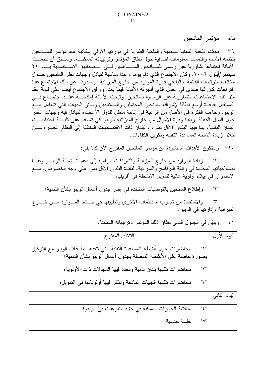باء – مؤتمر المانحين

٣٩– بحثت اللجنة المعنية بالنتمية والملكية الفكرية في دورتها الأولى إمكانية عقد مؤتمر للمسانحين تنظمه الأمانة والتمست معلومات إضافية حول نطاق المؤتمر وترتيباته الممكنـــة. وســبق أن نظمــت الأمانة اجتماعا تشاوريا غير رسمي للمسانحين المسساهمين فسي السصناديق الاسستئمانية يسوم ٢٢ سبتمبر/أيلول ٢٠٠٦. وكان الاجتماع الذي دام يوما واحدا مناسبة لتبادل وجهات نظر المانحين حــول مختلف الترتيبات القائمة حاليا في إدارة الموارد من خارج الميزانية. وصدرت عن ذلك الاجتماع عدة اقتراحات كان لها صدى في العمل الذي أنجزته الأمانة فيما بعد. ووافق الاجتماع أيضا على قيمة عقد مثل نلك الاجتماعات النشاورية غير الرسمية للمانحين. ونبحث الأمانة إمكانيـــة عقـــد اجتمـــاع فـــي المستقبل بقاعدة أوسع نطاقا لإشراك المانحين المحتملين والمستفيدين وسائر الجهات التبي تتعامل مسع الويبو . وجاءت الفكرة في الأصل من الرغبة في إناحة محفل للدول الأعضاء نتبادل فيه وجهات النظر حول السبل الكفيلة بزيادة وفرة الأموال من خارج الميزانية للويبو كي نساعد على نلبيــــة احتياجــــات البلدان النامية، بما فيها البلدان الأقل نموا، والبلدان ذات الاقتصاديات المنتقلة إلى النظام الحـــر ، مـــن خلال زيادة أنشطة المساعدة النقنية ونكوين الكفاءات.

٤٠ - وستكون الأهداف المنشودة من مؤتمر المانحين المقترح الأن كما يلي:

زيادة الموارد من خارج الميز انية والشر اكات الرامية إلى دعم أنـــشطة الويبـــو وفقـــا لصلاحياتها المحددة في وثيقة البرنامج والميزانية، لفائدة البلدان الأقل نموا على وجه الخصوص، مـــع الاستمرار في إيلاء أولوية عالية لتمويل الأنشطة في أفريقيا؛

و إطلاع المانحين بالتوصيات المتخذة في إطار جدول أعمال الويبو بشأن التتمية؛  $"Y"$ 

والاستفادة من تجارب المنظمات الأخرى وتطبيقها في حــشد المـــوارد مـــن خـــارج "۳" الميز انية وإدارتها في الويبو .

| التنظيم المقترح                                                                                                                                         | البوم الأول   |
|---------------------------------------------------------------------------------------------------------------------------------------------------------|---------------|
| محاضرات حول أنشطة المساعدة التقنية التي نتفذها قطاعات الويبو مع التركيز<br>$"$ \ $"$<br>بصورة خاصة على الأنشطة المتصلة بجدول أعمال الويبو بشأن التتمية؛ |               |
| محاضرات نلقيها بلدان نامية وتحدد فيها المجالات ذات الأولوية؛<br>"۲"                                                                                     |               |
| محاضرات نلقيها الجهات المانحة ونذكر فيها أولوياتها في التمويل؛<br>"۳"                                                                                   |               |
|                                                                                                                                                         | البوم الثانبي |
| مناقشة الخيارات الممكنة في حشد التبر عات في الويبو ؛<br>$"$ { $"$                                                                                       |               |
| "ه"<br>جلسة ختامية.                                                                                                                                     |               |
|                                                                                                                                                         |               |

٤١ - ويبيّن في الجدول التالي نطاق ذلك المؤتمر وترتيباته الممكنة.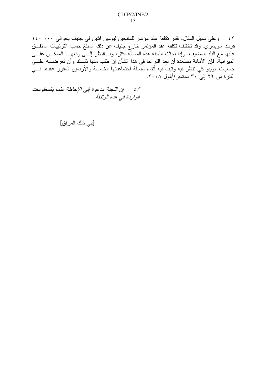٤٢ - وعلى سبيل المثال، تقدر تكلفة عقد مؤتمر للمانحين ليومين اثنين في جنيف بحوالي ١٤٠٠٠٠ فرنك سويسرِّي. وقد تختلف تكلفة عقد المؤتمر خارج جنيف عن ذلك المبلَّغ حسب الترتيبَّات المتفــق<br>عليها مع البلد المضيف. وإذا بحثت اللجنة هذه المسألة أكثر، وبـــالنظر إلــــى وقعهـــا الممكـــن علــــى المميزانيةٌ، فإن الأمانة مستعدة أن تعد اقتراحا في هذا الشأن إن طلب منها ذلــك وأن تعرضــــه علــــى جمعيات الويبو كي نتظر فيه ونبتٌ فيه أثناء سلَّسلة اجتماعاتها الخامسة والأربعين المقرر عقدها فـــي الفتر ة من ٢٢ إلى ٣٠ سبتمبر /أيلول ٢٠٠٨.

٤٣ - إن اللجنة مدعوة إلى الإحاطة علما بالمعلومات الواردة في هذه الوثيقة.

[يلي ذلك المرفق]